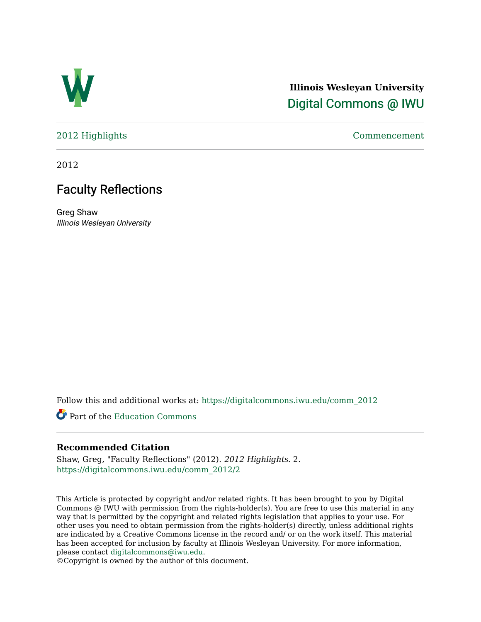

## **Illinois Wesleyan University**  [Digital Commons @ IWU](https://digitalcommons.iwu.edu/)

[2012 Highlights](https://digitalcommons.iwu.edu/comm_2012) [Commencement](https://digitalcommons.iwu.edu/commencement) 

2012

# Faculty Reflections

Greg Shaw Illinois Wesleyan University

Follow this and additional works at: [https://digitalcommons.iwu.edu/comm\\_2012](https://digitalcommons.iwu.edu/comm_2012?utm_source=digitalcommons.iwu.edu%2Fcomm_2012%2F2&utm_medium=PDF&utm_campaign=PDFCoverPages) 

Part of the [Education Commons](http://network.bepress.com/hgg/discipline/784?utm_source=digitalcommons.iwu.edu%2Fcomm_2012%2F2&utm_medium=PDF&utm_campaign=PDFCoverPages)

## **Recommended Citation**

Shaw, Greg, "Faculty Reflections" (2012). 2012 Highlights. 2. [https://digitalcommons.iwu.edu/comm\\_2012/2](https://digitalcommons.iwu.edu/comm_2012/2?utm_source=digitalcommons.iwu.edu%2Fcomm_2012%2F2&utm_medium=PDF&utm_campaign=PDFCoverPages) 

This Article is protected by copyright and/or related rights. It has been brought to you by Digital Commons @ IWU with permission from the rights-holder(s). You are free to use this material in any way that is permitted by the copyright and related rights legislation that applies to your use. For other uses you need to obtain permission from the rights-holder(s) directly, unless additional rights are indicated by a Creative Commons license in the record and/ or on the work itself. This material has been accepted for inclusion by faculty at Illinois Wesleyan University. For more information, please contact [digitalcommons@iwu.edu.](mailto:digitalcommons@iwu.edu)

©Copyright is owned by the author of this document.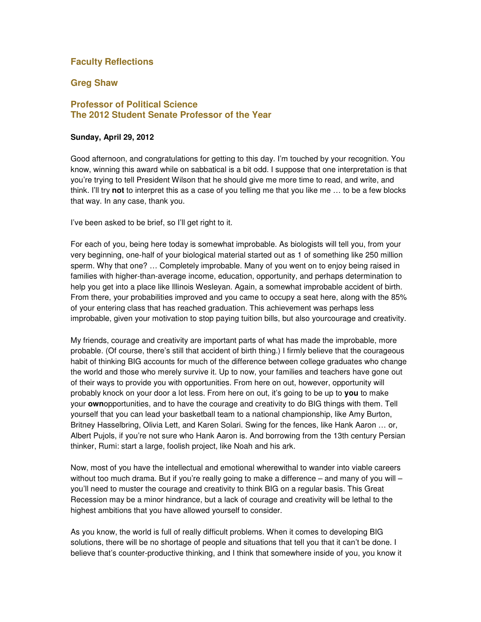## **Faculty Reflections**

#### **Greg Shaw**

#### **Professor of Political Science The 2012 Student Senate Professor of the Year**

#### **Sunday, April 29, 2012**

Good afternoon, and congratulations for getting to this day. I'm touched by your recognition. You know, winning this award while on sabbatical is a bit odd. I suppose that one interpretation is that you're trying to tell President Wilson that he should give me more time to read, and write, and think. I'll try **not** to interpret this as a case of you telling me that you like me … to be a few blocks that way. In any case, thank you.

I've been asked to be brief, so I'll get right to it.

For each of you, being here today is somewhat improbable. As biologists will tell you, from your very beginning, one-half of your biological material started out as 1 of something like 250 million sperm. Why that one? … Completely improbable. Many of you went on to enjoy being raised in families with higher-than-average income, education, opportunity, and perhaps determination to help you get into a place like Illinois Wesleyan. Again, a somewhat improbable accident of birth. From there, your probabilities improved and you came to occupy a seat here, along with the 85% of your entering class that has reached graduation. This achievement was perhaps less improbable, given your motivation to stop paying tuition bills, but also yourcourage and creativity.

My friends, courage and creativity are important parts of what has made the improbable, more probable. (Of course, there's still that accident of birth thing.) I firmly believe that the courageous habit of thinking BIG accounts for much of the difference between college graduates who change the world and those who merely survive it. Up to now, your families and teachers have gone out of their ways to provide you with opportunities. From here on out, however, opportunity will probably knock on your door a lot less. From here on out, it's going to be up to **you** to make your **own**opportunities, and to have the courage and creativity to do BIG things with them. Tell yourself that you can lead your basketball team to a national championship, like Amy Burton, Britney Hasselbring, Olivia Lett, and Karen Solari. Swing for the fences, like Hank Aaron … or, Albert Pujols, if you're not sure who Hank Aaron is. And borrowing from the 13th century Persian thinker, Rumi: start a large, foolish project, like Noah and his ark.

Now, most of you have the intellectual and emotional wherewithal to wander into viable careers without too much drama. But if you're really going to make a difference – and many of you will – you'll need to muster the courage and creativity to think BIG on a regular basis. This Great Recession may be a minor hindrance, but a lack of courage and creativity will be lethal to the highest ambitions that you have allowed yourself to consider.

As you know, the world is full of really difficult problems. When it comes to developing BIG solutions, there will be no shortage of people and situations that tell you that it can't be done. I believe that's counter-productive thinking, and I think that somewhere inside of you, you know it